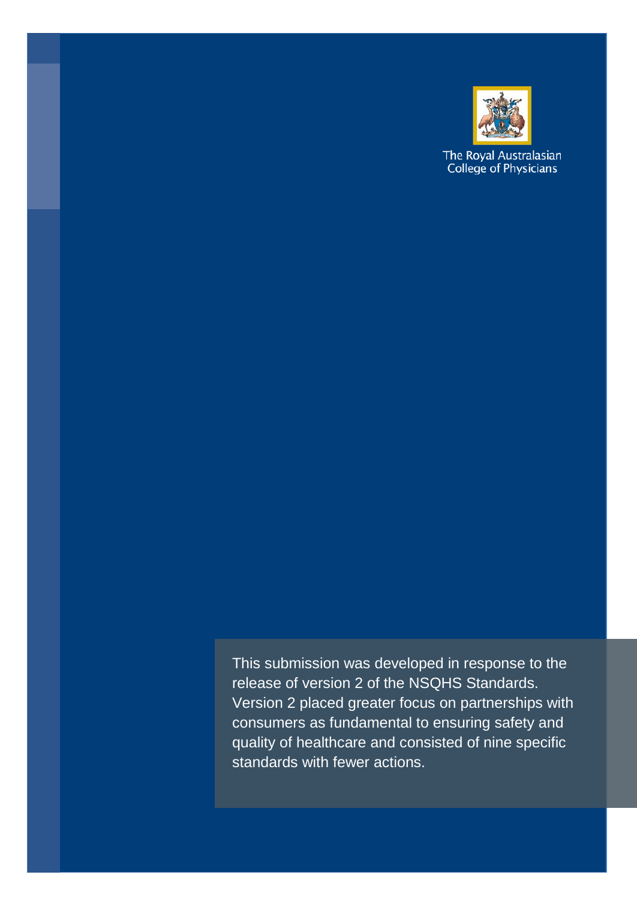

The Royal Australasian<br>College of Physicians

This submission was developed in response to the release of version 2 of the NSQHS Standards. Version 2 placed greater focus on partnerships with consumers as fundamental to ensuring safety and quality of healthcare and consisted of nine specific standards with fewer actions.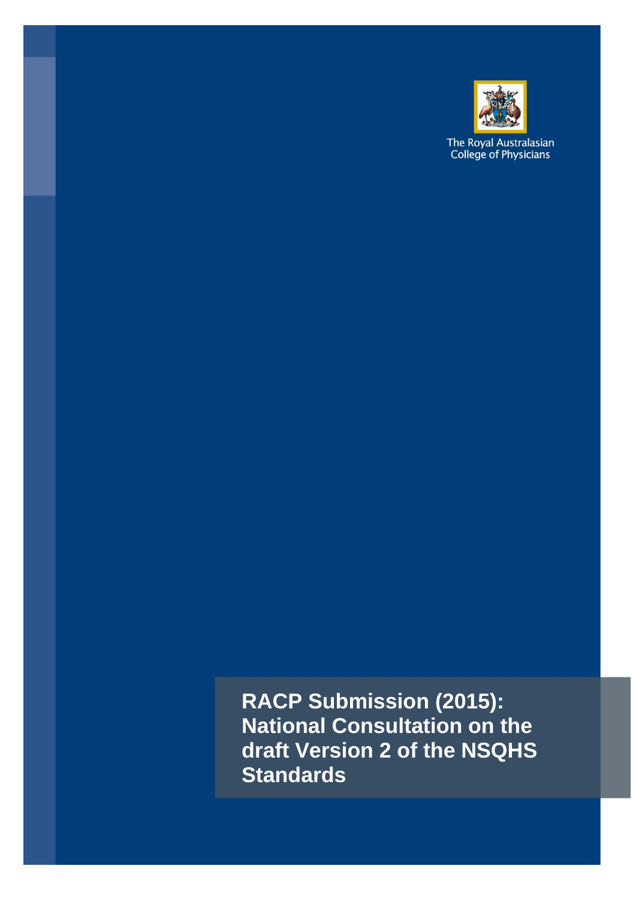

The Royal Australasian<br>College of Physicians

**RACP Submission (2015): National Consultation on the draft Version 2 of the NSQHS Standards**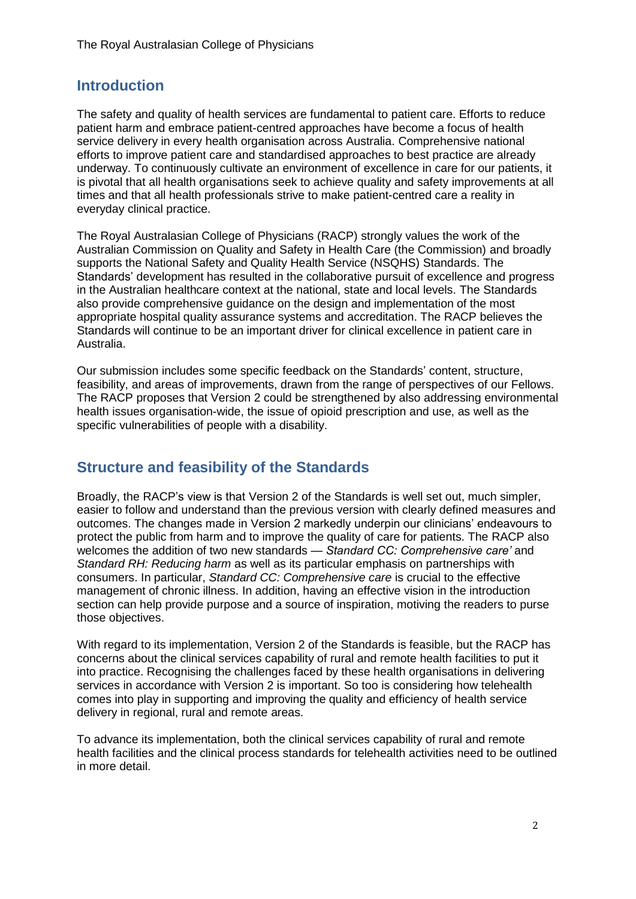## **Introduction**

The safety and quality of health services are fundamental to patient care. Efforts to reduce patient harm and embrace patient-centred approaches have become a focus of health service delivery in every health organisation across Australia. Comprehensive national efforts to improve patient care and standardised approaches to best practice are already underway. To continuously cultivate an environment of excellence in care for our patients, it is pivotal that all health organisations seek to achieve quality and safety improvements at all times and that all health professionals strive to make patient-centred care a reality in everyday clinical practice.

The Royal Australasian College of Physicians (RACP) strongly values the work of the Australian Commission on Quality and Safety in Health Care (the Commission) and broadly supports the National Safety and Quality Health Service (NSQHS) Standards. The Standards' development has resulted in the collaborative pursuit of excellence and progress in the Australian healthcare context at the national, state and local levels. The Standards also provide comprehensive guidance on the design and implementation of the most appropriate hospital quality assurance systems and accreditation. The RACP believes the Standards will continue to be an important driver for clinical excellence in patient care in Australia.

Our submission includes some specific feedback on the Standards' content, structure, feasibility, and areas of improvements, drawn from the range of perspectives of our Fellows. The RACP proposes that Version 2 could be strengthened by also addressing environmental health issues organisation-wide, the issue of opioid prescription and use, as well as the specific vulnerabilities of people with a disability.

## **Structure and feasibility of the Standards**

Broadly, the RACP's view is that Version 2 of the Standards is well set out, much simpler, easier to follow and understand than the previous version with clearly defined measures and outcomes. The changes made in Version 2 markedly underpin our clinicians' endeavours to protect the public from harm and to improve the quality of care for patients. The RACP also welcomes the addition of two new standards — *Standard CC: Comprehensive care'* and *Standard RH: Reducing harm* as well as its particular emphasis on partnerships with consumers. In particular, *Standard CC: Comprehensive care* is crucial to the effective management of chronic illness. In addition, having an effective vision in the introduction section can help provide purpose and a source of inspiration, motiving the readers to purse those objectives.

With regard to its implementation, Version 2 of the Standards is feasible, but the RACP has concerns about the clinical services capability of rural and remote health facilities to put it into practice. Recognising the challenges faced by these health organisations in delivering services in accordance with Version 2 is important. So too is considering how telehealth comes into play in supporting and improving the quality and efficiency of health service delivery in regional, rural and remote areas.

To advance its implementation, both the clinical services capability of rural and remote health facilities and the clinical process standards for telehealth activities need to be outlined in more detail.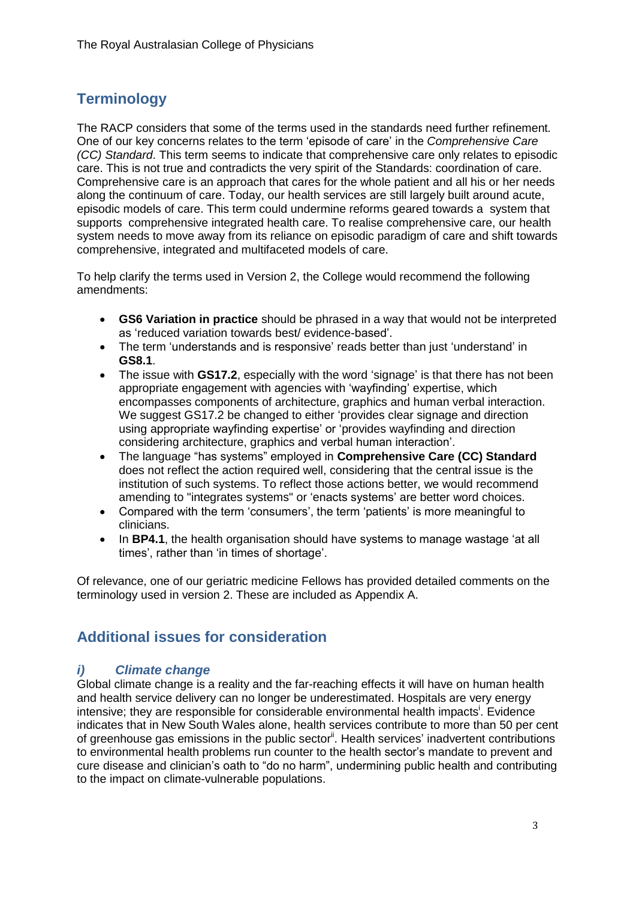# **Terminology**

The RACP considers that some of the terms used in the standards need further refinement*.* One of our key concerns relates to the term 'episode of care' in the *Comprehensive Care (CC) Standard*. This term seems to indicate that comprehensive care only relates to episodic care. This is not true and contradicts the very spirit of the Standards: coordination of care. Comprehensive care is an approach that cares for the whole patient and all his or her needs along the continuum of care. Today, our health services are still largely built around acute, episodic models of care. This term could undermine reforms geared towards a system that supports comprehensive integrated health care. To realise comprehensive care, our health system needs to move away from its reliance on episodic paradigm of care and shift towards comprehensive, integrated and multifaceted models of care.

To help clarify the terms used in Version 2, the College would recommend the following amendments:

- **GS6 Variation in practice** should be phrased in a way that would not be interpreted as 'reduced variation towards best/ evidence-based'.
- The term 'understands and is responsive' reads better than just 'understand' in **GS8.1**.
- The issue with **GS17.2**, especially with the word 'signage' is that there has not been appropriate engagement with agencies with 'wayfinding' expertise, which encompasses components of architecture, graphics and human verbal interaction. We suggest GS17.2 be changed to either 'provides clear signage and direction using appropriate wayfinding expertise' or 'provides wayfinding and direction considering architecture, graphics and verbal human interaction'.
- The language "has systems" employed in **Comprehensive Care (CC) Standard** does not reflect the action required well, considering that the central issue is the institution of such systems. To reflect those actions better, we would recommend amending to "integrates systems" or 'enacts systems' are better word choices.
- Compared with the term 'consumers', the term 'patients' is more meaningful to clinicians.
- In **BP4.1**, the health organisation should have systems to manage wastage 'at all times', rather than 'in times of shortage'.

Of relevance, one of our geriatric medicine Fellows has provided detailed comments on the terminology used in version 2. These are included as Appendix A.

# **Additional issues for consideration**

#### *i) Climate change*

Global climate change is a reality and the far-reaching effects it will have on human health and health service delivery can no longer be underestimated. Hospitals are very energy intensive; they are responsible for considerable environmental health impacts<sup>i</sup>. Evidence indicates that in New South Wales alone, health services contribute to more than 50 per cent of greenhouse gas emissions in the public sector<sup>ii</sup>. Health services' inadvertent contributions to environmental health problems run counter to the health sector's mandate to prevent and cure disease and clinician's oath to "do no harm", undermining public health and contributing to the impact on climate-vulnerable populations.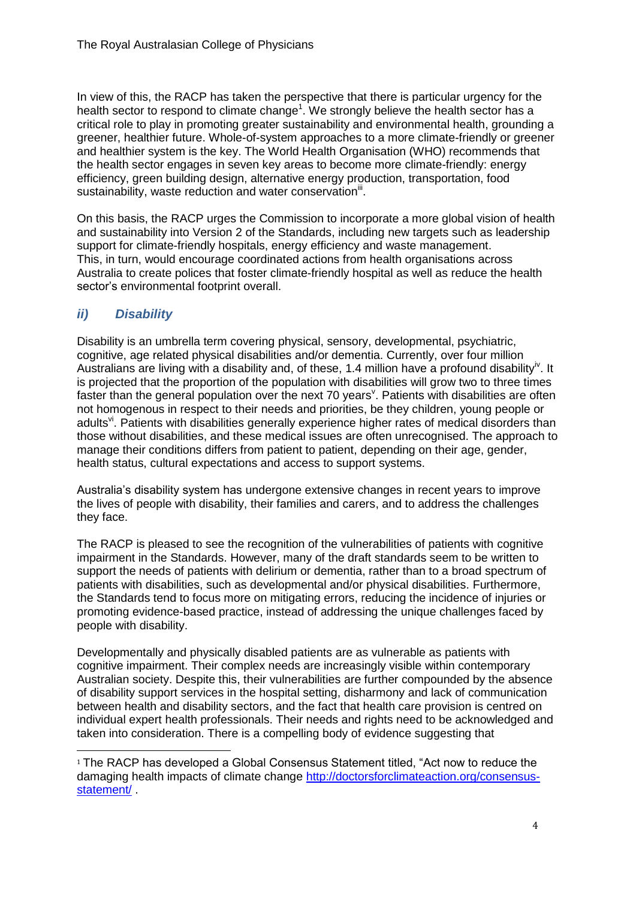In view of this, the RACP has taken the perspective that there is particular urgency for the health sector to respond to climate change<sup>1</sup>. We strongly believe the health sector has a critical role to play in promoting greater sustainability and environmental health, grounding a greener, healthier future. Whole-of-system approaches to a more climate-friendly or greener and healthier system is the key. The World Health Organisation (WHO) recommends that the health sector engages in seven key areas to become more climate-friendly: energy efficiency, green building design, alternative energy production, transportation, food sustainability, waste reduction and water conservation<sup>iii</sup>.

On this basis, the RACP urges the Commission to incorporate a more global vision of health and sustainability into Version 2 of the Standards, including new targets such as leadership support for climate-friendly hospitals, energy efficiency and waste management. This, in turn, would encourage coordinated actions from health organisations across Australia to create polices that foster climate-friendly hospital as well as reduce the health sector's environmental footprint overall.

### *ii) Disability*

<u>.</u>

Disability is an umbrella term covering physical, sensory, developmental, psychiatric, cognitive, age related physical disabilities and/or dementia. Currently, over four million Australians are living with a disability and, of these, 1.4 million have a profound disability<sup>iv</sup>. It is projected that the proportion of the population with disabilities will grow two to three times faster than the general population over the next 70 years<sup>v</sup>. Patients with disabilities are often not homogenous in respect to their needs and priorities, be they children, young people or adults<sup>vi</sup>. Patients with disabilities generally experience higher rates of medical disorders than those without disabilities, and these medical issues are often unrecognised. The approach to manage their conditions differs from patient to patient, depending on their age, gender, health status, cultural expectations and access to support systems.

Australia's disability system has undergone extensive changes in recent years to improve the lives of people with disability, their families and carers, and to address the challenges they face.

The RACP is pleased to see the recognition of the vulnerabilities of patients with cognitive impairment in the Standards. However, many of the draft standards seem to be written to support the needs of patients with delirium or dementia, rather than to a broad spectrum of patients with disabilities, such as developmental and/or physical disabilities. Furthermore, the Standards tend to focus more on mitigating errors, reducing the incidence of injuries or promoting evidence-based practice, instead of addressing the unique challenges faced by people with disability.

Developmentally and physically disabled patients are as vulnerable as patients with cognitive impairment. Their complex needs are increasingly visible within contemporary Australian society. Despite this, their vulnerabilities are further compounded by the absence of disability support services in the hospital setting, disharmony and lack of communication between health and disability sectors, and the fact that health care provision is centred on individual expert health professionals. Their needs and rights need to be acknowledged and taken into consideration. There is a compelling body of evidence suggesting that

<sup>&</sup>lt;sup>1</sup> The RACP has developed a Global Consensus Statement titled, "Act now to reduce the damaging health impacts of climate change [http://doctorsforclimateaction.org/consensus](http://doctorsforclimateaction.org/consensus-statement/)[statement/](http://doctorsforclimateaction.org/consensus-statement/) .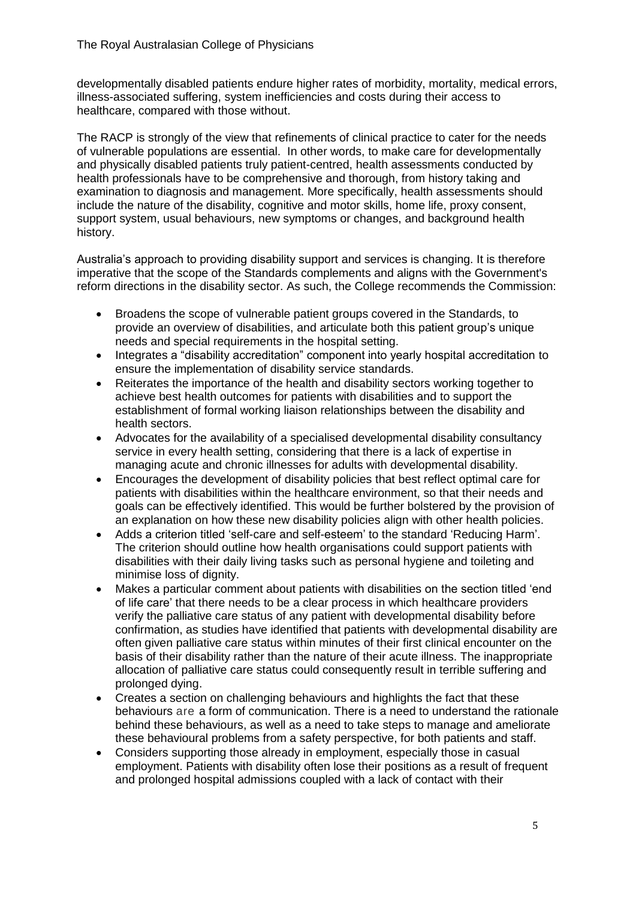developmentally disabled patients endure higher rates of morbidity, mortality, medical errors, illness-associated suffering, system inefficiencies and costs during their access to healthcare, compared with those without.

The RACP is strongly of the view that refinements of clinical practice to cater for the needs of vulnerable populations are essential. In other words, to make care for developmentally and physically disabled patients truly patient-centred, health assessments conducted by health professionals have to be comprehensive and thorough, from history taking and examination to diagnosis and management. More specifically, health assessments should include the nature of the disability, cognitive and motor skills, home life, proxy consent, support system, usual behaviours, new symptoms or changes, and background health history.

Australia's approach to providing disability support and services is changing. It is therefore imperative that the scope of the Standards complements and aligns with the Government's reform directions in the disability sector. As such, the College recommends the Commission:

- Broadens the scope of vulnerable patient groups covered in the Standards, to provide an overview of disabilities, and articulate both this patient group's unique needs and special requirements in the hospital setting.
- Integrates a "disability accreditation" component into yearly hospital accreditation to ensure the implementation of disability service standards.
- Reiterates the importance of the health and disability sectors working together to achieve best health outcomes for patients with disabilities and to support the establishment of formal working liaison relationships between the disability and health sectors.
- Advocates for the availability of a specialised developmental disability consultancy service in every health setting, considering that there is a lack of expertise in managing acute and chronic illnesses for adults with developmental disability.
- Encourages the development of disability policies that best reflect optimal care for patients with disabilities within the healthcare environment, so that their needs and goals can be effectively identified. This would be further bolstered by the provision of an explanation on how these new disability policies align with other health policies.
- Adds a criterion titled 'self-care and self-esteem' to the standard 'Reducing Harm'. The criterion should outline how health organisations could support patients with disabilities with their daily living tasks such as personal hygiene and toileting and minimise loss of dignity.
- Makes a particular comment about patients with disabilities on the section titled 'end of life care' that there needs to be a clear process in which healthcare providers verify the palliative care status of any patient with developmental disability before confirmation, as studies have identified that patients with developmental disability are often given palliative care status within minutes of their first clinical encounter on the basis of their disability rather than the nature of their acute illness. The inappropriate allocation of palliative care status could consequently result in terrible suffering and prolonged dying.
- Creates a section on challenging behaviours and highlights the fact that these behaviours are a form of communication. There is a need to understand the rationale behind these behaviours, as well as a need to take steps to manage and ameliorate these behavioural problems from a safety perspective, for both patients and staff.
- Considers supporting those already in employment, especially those in casual employment. Patients with disability often lose their positions as a result of frequent and prolonged hospital admissions coupled with a lack of contact with their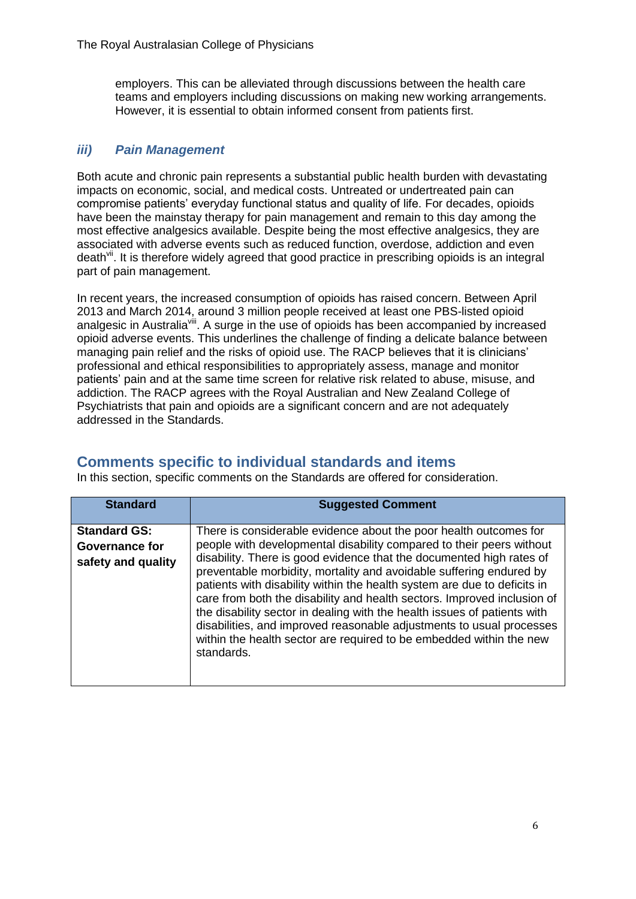employers. This can be alleviated through discussions between the health care teams and employers including discussions on making new working arrangements. However, it is essential to obtain informed consent from patients first.

#### *iii) Pain Management*

Both acute and chronic pain represents a substantial public health burden with devastating impacts on economic, social, and medical costs. Untreated or undertreated pain can compromise patients' everyday functional status and quality of life. For decades, opioids have been the mainstay therapy for pain management and remain to this day among the most effective analgesics available. Despite being the most effective analgesics, they are associated with adverse events such as reduced function, overdose, addiction and even death<sup>vii</sup>. It is therefore widely agreed that good practice in prescribing opioids is an integral part of pain management.

In recent years, the increased consumption of opioids has raised concern. Between April 2013 and March 2014, around 3 million people received at least one PBS-listed opioid analgesic in Australia<sup>viii</sup>. A surge in the use of opioids has been accompanied by increased opioid adverse events. This underlines the challenge of finding a delicate balance between managing pain relief and the risks of opioid use. The RACP believes that it is clinicians' professional and ethical responsibilities to appropriately assess, manage and monitor patients' pain and at the same time screen for relative risk related to abuse, misuse, and addiction. The RACP agrees with the Royal Australian and New Zealand College of Psychiatrists that pain and opioids are a significant concern and are not adequately addressed in the Standards.

## **Comments specific to individual standards and items**

In this section, specific comments on the Standards are offered for consideration.

| <b>Standard</b>                                             | <b>Suggested Comment</b>                                                                                                                                                                                                                                                                                                                                                                                                                                                                                                                                                                                                                                                                 |
|-------------------------------------------------------------|------------------------------------------------------------------------------------------------------------------------------------------------------------------------------------------------------------------------------------------------------------------------------------------------------------------------------------------------------------------------------------------------------------------------------------------------------------------------------------------------------------------------------------------------------------------------------------------------------------------------------------------------------------------------------------------|
| <b>Standard GS:</b><br>Governance for<br>safety and quality | There is considerable evidence about the poor health outcomes for<br>people with developmental disability compared to their peers without<br>disability. There is good evidence that the documented high rates of<br>preventable morbidity, mortality and avoidable suffering endured by<br>patients with disability within the health system are due to deficits in<br>care from both the disability and health sectors. Improved inclusion of<br>the disability sector in dealing with the health issues of patients with<br>disabilities, and improved reasonable adjustments to usual processes<br>within the health sector are required to be embedded within the new<br>standards. |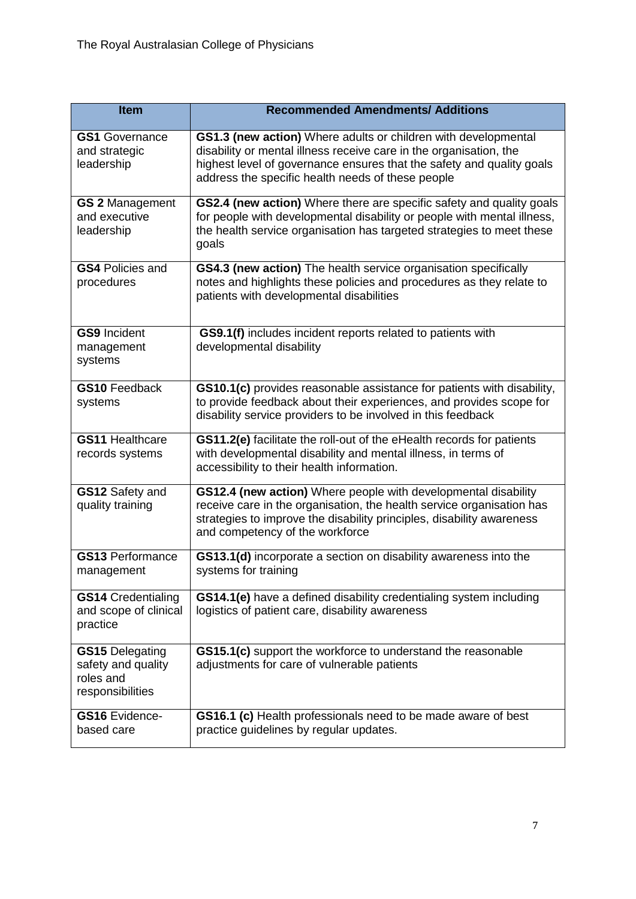| <b>Item</b>                                                                   | <b>Recommended Amendments/ Additions</b>                                                                                                                                                                                                                           |
|-------------------------------------------------------------------------------|--------------------------------------------------------------------------------------------------------------------------------------------------------------------------------------------------------------------------------------------------------------------|
| <b>GS1</b> Governance<br>and strategic<br>leadership                          | GS1.3 (new action) Where adults or children with developmental<br>disability or mental illness receive care in the organisation, the<br>highest level of governance ensures that the safety and quality goals<br>address the specific health needs of these people |
| <b>GS 2 Management</b><br>and executive<br>leadership                         | GS2.4 (new action) Where there are specific safety and quality goals<br>for people with developmental disability or people with mental illness,<br>the health service organisation has targeted strategies to meet these<br>goals                                  |
| <b>GS4 Policies and</b><br>procedures                                         | GS4.3 (new action) The health service organisation specifically<br>notes and highlights these policies and procedures as they relate to<br>patients with developmental disabilities                                                                                |
| <b>GS9</b> Incident<br>management<br>systems                                  | GS9.1(f) includes incident reports related to patients with<br>developmental disability                                                                                                                                                                            |
| <b>GS10 Feedback</b><br>systems                                               | GS10.1(c) provides reasonable assistance for patients with disability,<br>to provide feedback about their experiences, and provides scope for<br>disability service providers to be involved in this feedback                                                      |
| <b>GS11 Healthcare</b><br>records systems                                     | GS11.2(e) facilitate the roll-out of the eHealth records for patients<br>with developmental disability and mental illness, in terms of<br>accessibility to their health information.                                                                               |
| GS12 Safety and<br>quality training                                           | GS12.4 (new action) Where people with developmental disability<br>receive care in the organisation, the health service organisation has<br>strategies to improve the disability principles, disability awareness<br>and competency of the workforce                |
| <b>GS13 Performance</b><br>management                                         | GS13.1(d) incorporate a section on disability awareness into the<br>systems for training                                                                                                                                                                           |
| <b>GS14</b> Credentialing<br>and scope of clinical<br>practice                | GS14.1(e) have a defined disability credentialing system including<br>logistics of patient care, disability awareness                                                                                                                                              |
| <b>GS15 Delegating</b><br>safety and quality<br>roles and<br>responsibilities | GS15.1(c) support the workforce to understand the reasonable<br>adjustments for care of vulnerable patients                                                                                                                                                        |
| <b>GS16</b> Evidence-<br>based care                                           | GS16.1 (c) Health professionals need to be made aware of best<br>practice guidelines by regular updates.                                                                                                                                                           |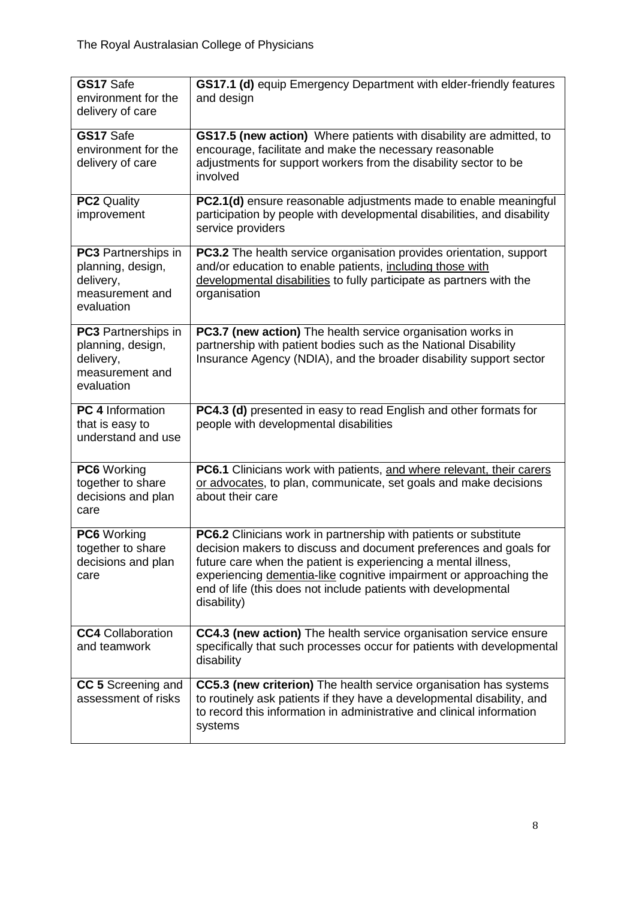| GS17 Safe<br>environment for the<br>delivery of care                                          | GS17.1 (d) equip Emergency Department with elder-friendly features<br>and design                                                                                                                                                                                                                                                                               |
|-----------------------------------------------------------------------------------------------|----------------------------------------------------------------------------------------------------------------------------------------------------------------------------------------------------------------------------------------------------------------------------------------------------------------------------------------------------------------|
| GS17 Safe<br>environment for the<br>delivery of care                                          | <b>GS17.5 (new action)</b> Where patients with disability are admitted, to<br>encourage, facilitate and make the necessary reasonable<br>adjustments for support workers from the disability sector to be<br>involved                                                                                                                                          |
| <b>PC2 Quality</b><br>improvement                                                             | PC2.1(d) ensure reasonable adjustments made to enable meaningful<br>participation by people with developmental disabilities, and disability<br>service providers                                                                                                                                                                                               |
| <b>PC3</b> Partnerships in<br>planning, design,<br>delivery,<br>measurement and<br>evaluation | PC3.2 The health service organisation provides orientation, support<br>and/or education to enable patients, including those with<br>developmental disabilities to fully participate as partners with the<br>organisation                                                                                                                                       |
| <b>PC3</b> Partnerships in<br>planning, design,<br>delivery,<br>measurement and<br>evaluation | PC3.7 (new action) The health service organisation works in<br>partnership with patient bodies such as the National Disability<br>Insurance Agency (NDIA), and the broader disability support sector                                                                                                                                                           |
| <b>PC 4 Information</b><br>that is easy to<br>understand and use                              | PC4.3 (d) presented in easy to read English and other formats for<br>people with developmental disabilities                                                                                                                                                                                                                                                    |
| PC6 Working<br>together to share<br>decisions and plan<br>care                                | PC6.1 Clinicians work with patients, and where relevant, their carers<br>or advocates, to plan, communicate, set goals and make decisions<br>about their care                                                                                                                                                                                                  |
| PC6 Working<br>together to share<br>decisions and plan<br>care                                | PC6.2 Clinicians work in partnership with patients or substitute<br>decision makers to discuss and document preferences and goals for<br>future care when the patient is experiencing a mental illness,<br>experiencing dementia-like cognitive impairment or approaching the<br>end of life (this does not include patients with developmental<br>disability) |
| <b>CC4</b> Collaboration<br>and teamwork                                                      | CC4.3 (new action) The health service organisation service ensure<br>specifically that such processes occur for patients with developmental<br>disability                                                                                                                                                                                                      |
| CC 5 Screening and<br>assessment of risks                                                     | CC5.3 (new criterion) The health service organisation has systems<br>to routinely ask patients if they have a developmental disability, and<br>to record this information in administrative and clinical information<br>systems                                                                                                                                |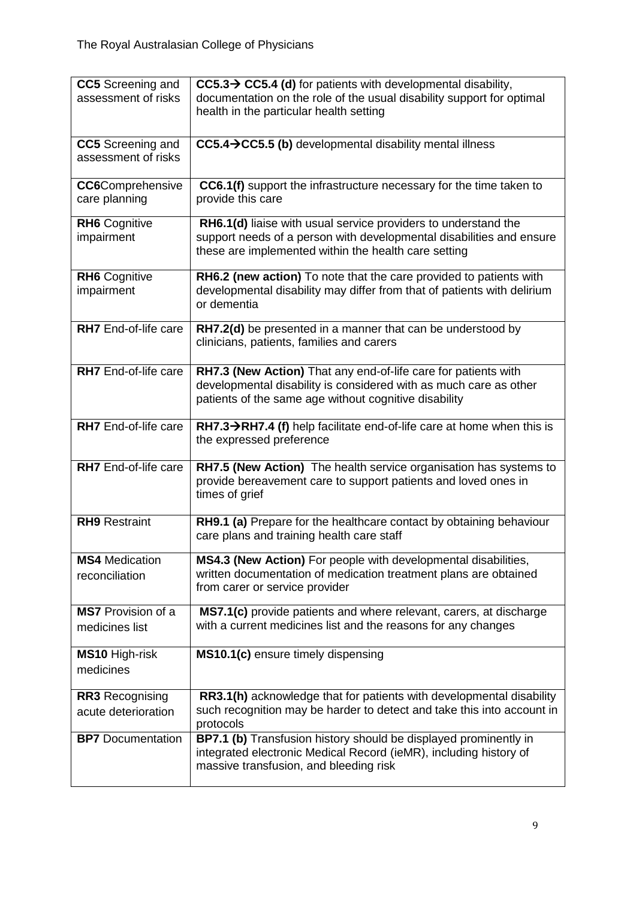| <b>CC5</b> Screening and    | $CC5.3 \rightarrow CC5.4$ (d) for patients with developmental disability,           |
|-----------------------------|-------------------------------------------------------------------------------------|
| assessment of risks         | documentation on the role of the usual disability support for optimal               |
|                             | health in the particular health setting                                             |
|                             |                                                                                     |
| CC5 Screening and           | CC5.4 > CC5.5 (b) developmental disability mental illness                           |
| assessment of risks         |                                                                                     |
|                             |                                                                                     |
| <b>CC6</b> Comprehensive    | CC6.1(f) support the infrastructure necessary for the time taken to                 |
| care planning               | provide this care                                                                   |
|                             |                                                                                     |
| <b>RH6</b> Cognitive        | RH6.1(d) liaise with usual service providers to understand the                      |
| impairment                  | support needs of a person with developmental disabilities and ensure                |
|                             | these are implemented within the health care setting                                |
| <b>RH6</b> Cognitive        | RH6.2 (new action) To note that the care provided to patients with                  |
| impairment                  | developmental disability may differ from that of patients with delirium             |
|                             | or dementia                                                                         |
|                             |                                                                                     |
| <b>RH7</b> End-of-life care | RH7.2(d) be presented in a manner that can be understood by                         |
|                             | clinicians, patients, families and carers                                           |
|                             |                                                                                     |
| RH7 End-of-life care        | RH7.3 (New Action) That any end-of-life care for patients with                      |
|                             | developmental disability is considered with as much care as other                   |
|                             | patients of the same age without cognitive disability                               |
|                             |                                                                                     |
| RH7 End-of-life care        | $RH7.3 \rightarrow RH7.4$ (f) help facilitate end-of-life care at home when this is |
|                             | the expressed preference                                                            |
|                             |                                                                                     |
| RH7 End-of-life care        | RH7.5 (New Action) The health service organisation has systems to                   |
|                             | provide bereavement care to support patients and loved ones in                      |
|                             | times of grief                                                                      |
| <b>RH9</b> Restraint        | RH9.1 (a) Prepare for the healthcare contact by obtaining behaviour                 |
|                             | care plans and training health care staff                                           |
|                             |                                                                                     |
| <b>MS4</b> Medication       | MS4.3 (New Action) For people with developmental disabilities,                      |
| reconciliation              | written documentation of medication treatment plans are obtained                    |
|                             | from carer or service provider                                                      |
|                             |                                                                                     |
| <b>MS7</b> Provision of a   | MS7.1(c) provide patients and where relevant, carers, at discharge                  |
| medicines list              | with a current medicines list and the reasons for any changes                       |
|                             |                                                                                     |
| <b>MS10 High-risk</b>       | MS10.1(c) ensure timely dispensing                                                  |
| medicines                   |                                                                                     |
|                             |                                                                                     |
| <b>RR3</b> Recognising      | RR3.1(h) acknowledge that for patients with developmental disability                |
| acute deterioration         | such recognition may be harder to detect and take this into account in<br>protocols |
| <b>BP7</b> Documentation    | BP7.1 (b) Transfusion history should be displayed prominently in                    |
|                             | integrated electronic Medical Record (ieMR), including history of                   |
|                             | massive transfusion, and bleeding risk                                              |
|                             |                                                                                     |